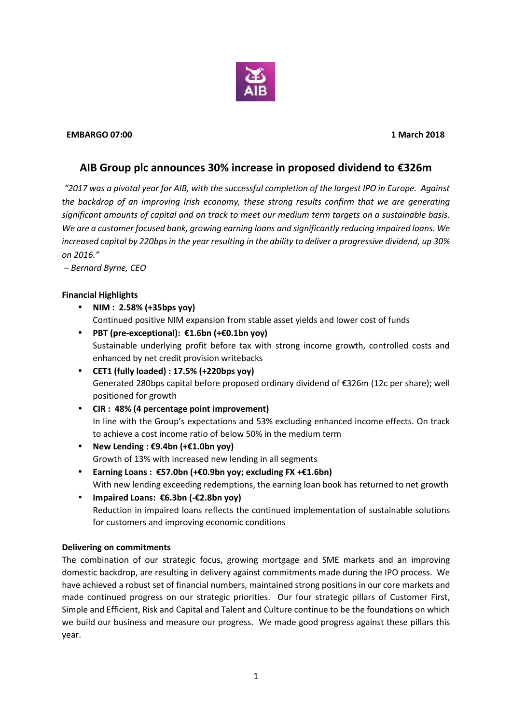

#### **EMBARGO 07:00 1 March 2018**

# **AIB Group plc announces 30% increase in proposed dividend to €326m**

*"2017 was a pivotal year for AIB, with the successful completion of the largest IPO in Europe. Against the backdrop of an improving Irish economy, these strong results confirm that we are generating significant amounts of capital and on track to meet our medium term targets on a sustainable basis. We are a customer focused bank, growing earning loans and significantly reducing impaired loans. We increased capital by 220bpsin the year resulting in the ability to deliver a progressive dividend, up 30% on 2016."*

*– Bernard Byrne, CEO*

## **Financial Highlights**

- **NIM : 2.58% (+35bps yoy)** Continued positive NIM expansion from stable asset yields and lower cost of funds
- **PBT (pre-exceptional): €1.6bn (+€0.1bn yoy)** Sustainable underlying profit before tax with strong income growth, controlled costs and enhanced by net credit provision writebacks
- **CET1 (fully loaded) : 17.5% (+220bps yoy)** Generated 280bps capital before proposed ordinary dividend of €326m (12c per share); well positioned for growth
- **CIR : 48% (4 percentage point improvement)** In line with the Group's expectations and 53% excluding enhanced income effects. On track to achieve a cost income ratio of below 50% in the medium term
- **New Lending : €9.4bn (+€1.0bn yoy)** Growth of 13% with increased new lending in all segments
- **Earning Loans : €57.0bn (+€0.9bn yoy; excluding FX +€1.6bn)** With new lending exceeding redemptions, the earning loan book has returned to net growth
- **Impaired Loans: €6.3bn (-€2.8bn yoy)** Reduction in impaired loans reflects the continued implementation of sustainable solutions for customers and improving economic conditions

## **Delivering on commitments**

The combination of our strategic focus, growing mortgage and SME markets and an improving domestic backdrop, are resulting in delivery against commitments made during the IPO process. We have achieved a robust set of financial numbers, maintained strong positions in our core markets and made continued progress on our strategic priorities. Our four strategic pillars of Customer First, Simple and Efficient, Risk and Capital and Talent and Culture continue to be the foundations on which we build our business and measure our progress. We made good progress against these pillars this year.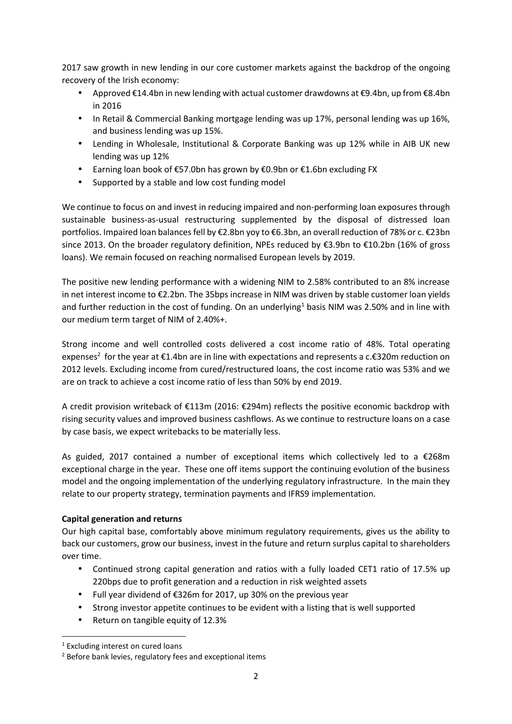2017 saw growth in new lending in our core customer markets against the backdrop of the ongoing recovery of the Irish economy:

- Approved €14.4bn in new lending with actual customer drawdowns at €9.4bn, up from €8.4bn in 2016
- In Retail & Commercial Banking mortgage lending was up 17%, personal lending was up 16%, and business lending was up 15%.
- Lending in Wholesale, Institutional & Corporate Banking was up 12% while in AIB UK new lending was up 12%
- Earning loan book of€57.0bn has grown by €0.9bn or €1.6bn excluding FX
- Supported by a stable and low cost funding model

We continue to focus on and invest in reducing impaired and non-performing loan exposures through sustainable business-as-usual restructuring supplemented by the disposal of distressed loan portfolios. Impaired loan balances fell by €2.8bn yoy to €6.3bn, an overall reduction of 78% or c. €23bn since 2013. On the broader regulatory definition, NPEs reduced by €3.9bn to €10.2bn (16% of gross loans). We remain focused on reaching normalised European levels by 2019.

The positive new lending performance with a widening NIM to 2.58% contributed to an 8% increase in net interest income to €2.2bn. The 35bps increase in NIM was driven by stable customer loan yields and further reduction in the cost of funding. On an underlying<sup>1</sup> basis NIM was 2.50% and in line with our medium term target of NIM of 2.40%+.

Strong income and well controlled costs delivered a cost income ratio of 48%. Total operating expenses<sup>2</sup> for the year at €1.4bn are in line with expectations and represents a c.€320m reduction on 2012 levels. Excluding income from cured/restructured loans, the cost income ratio was 53% and we are on track to achieve a cost income ratio of less than 50% by end 2019.

A credit provision writeback of €113m (2016: €294m) reflects the positive economic backdrop with rising security values and improved business cashflows. As we continue to restructure loans on a case by case basis, we expect writebacks to be materially less.

As guided, 2017 contained a number of exceptional items which collectively led to a  $\epsilon$ 268m exceptional charge in the year. These one off items support the continuing evolution of the business model and the ongoing implementation of the underlying regulatory infrastructure. In the main they relate to our property strategy, termination payments and IFRS9 implementation.

## **Capital generation and returns**

Our high capital base, comfortably above minimum regulatory requirements, gives us the ability to back our customers, grow our business, invest in the future and return surplus capital to shareholders over time.

- Continued strong capital generation and ratios with a fully loaded CET1 ratio of 17.5% up 220bps due to profit generation and a reduction in risk weighted assets
- Full year dividend of €326m for 2017, up 30% on the previous year
- Strong investor appetite continues to be evident with a listing that is well supported
- Return on tangible equity of 12.3%

<sup>&</sup>lt;sup>1</sup> Excluding interest on cured loans

<sup>2</sup> Before bank levies, regulatory fees and exceptional items